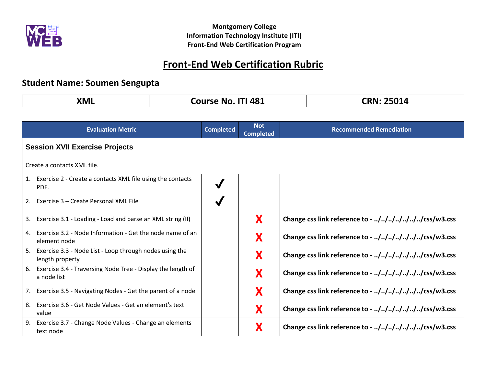

**Montgomery College Information Technology Institute (ITI) Front-End Web Certification Program**

## **Front-End Web Certification Rubric**

## **Student Name: Soumen Sengupta**

|--|

| <b>Evaluation Metric</b>                                                         | <b>Completed</b> | <b>Not</b><br><b>Completed</b> | <b>Recommended Remediation</b>                   |  |  |
|----------------------------------------------------------------------------------|------------------|--------------------------------|--------------------------------------------------|--|--|
| <b>Session XVII Exercise Projects</b>                                            |                  |                                |                                                  |  |  |
| Create a contacts XML file.                                                      |                  |                                |                                                  |  |  |
| Exercise 2 - Create a contacts XML file using the contacts<br>1.<br>PDF.         | $\checkmark$     |                                |                                                  |  |  |
| Exercise 3 – Create Personal XML File<br>2.                                      |                  |                                |                                                  |  |  |
| Exercise 3.1 - Loading - Load and parse an XML string (II)<br>3.                 |                  | X                              | Change css link reference to - ///////css/w3.css |  |  |
| Exercise 3.2 - Node Information - Get the node name of an<br>4.<br>element node  |                  | X                              | Change css link reference to - ///////css/w3.css |  |  |
| Exercise 3.3 - Node List - Loop through nodes using the<br>5.<br>length property |                  | X                              | Change css link reference to - ///////css/w3.css |  |  |
| Exercise 3.4 - Traversing Node Tree - Display the length of<br>6.<br>a node list |                  | X                              | Change css link reference to - ///////css/w3.css |  |  |
| Exercise 3.5 - Navigating Nodes - Get the parent of a node<br>7.                 |                  | X                              | Change css link reference to - ///////css/w3.css |  |  |
| Exercise 3.6 - Get Node Values - Get an element's text<br>8.<br>value            |                  | X                              | Change css link reference to - ///////css/w3.css |  |  |
| Exercise 3.7 - Change Node Values - Change an elements<br>9.<br>text node        |                  | X                              | Change css link reference to - ///////css/w3.css |  |  |